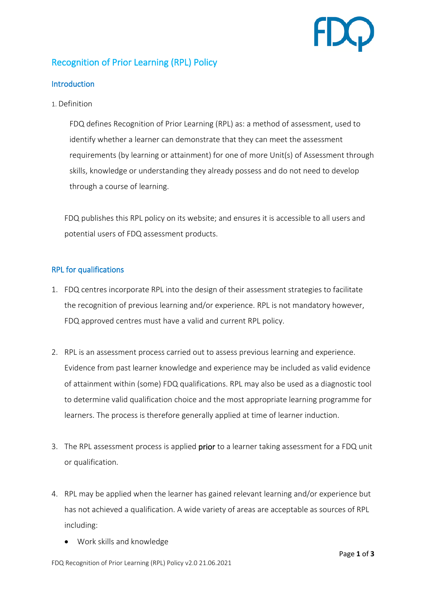

## Recognition of Prior Learning (RPL) Policy

## **Introduction**

1. Definition

FDQ defines Recognition of Prior Learning (RPL) as: a method of assessment, used to identify whether a learner can demonstrate that they can meet the assessment requirements (by learning or attainment) for one of more Unit(s) of Assessment through skills, knowledge or understanding they already possess and do not need to develop through a course of learning.

FDQ publishes this RPL policy on its website; and ensures it is accessible to all users and potential users of FDQ assessment products.

## RPL for qualifications

- 1. FDQ centres incorporate RPL into the design of their assessment strategies to facilitate the recognition of previous learning and/or experience. RPL is not mandatory however, FDQ approved centres must have a valid and current RPL policy.
- 2. RPL is an assessment process carried out to assess previous learning and experience. Evidence from past learner knowledge and experience may be included as valid evidence of attainment within (some) FDQ qualifications. RPL may also be used as a diagnostic tool to determine valid qualification choice and the most appropriate learning programme for learners. The process is therefore generally applied at time of learner induction.
- 3. The RPL assessment process is applied **prior** to a learner taking assessment for a FDQ unit or qualification.
- 4. RPL may be applied when the learner has gained relevant learning and/or experience but has not achieved a qualification. A wide variety of areas are acceptable as sources of RPL including:
	- Work skills and knowledge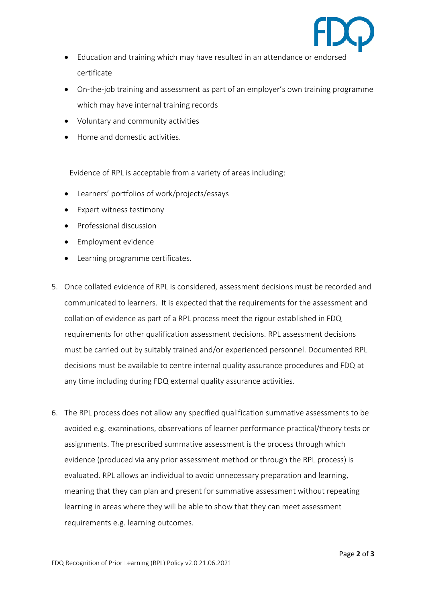

- Education and training which may have resulted in an attendance or endorsed certificate
- On-the-job training and assessment as part of an employer's own training programme which may have internal training records
- Voluntary and community activities
- Home and domestic activities.

Evidence of RPL is acceptable from a variety of areas including:

- Learners' portfolios of work/projects/essays
- Expert witness testimony
- Professional discussion
- Employment evidence
- Learning programme certificates.
- 5. Once collated evidence of RPL is considered, assessment decisions must be recorded and communicated to learners. It is expected that the requirements for the assessment and collation of evidence as part of a RPL process meet the rigour established in FDQ requirements for other qualification assessment decisions. RPL assessment decisions must be carried out by suitably trained and/or experienced personnel. Documented RPL decisions must be available to centre internal quality assurance procedures and FDQ at any time including during FDQ external quality assurance activities.
- 6. The RPL process does not allow any specified qualification summative assessments to be avoided e.g. examinations, observations of learner performance practical/theory tests or assignments. The prescribed summative assessment is the process through which evidence (produced via any prior assessment method or through the RPL process) is evaluated. RPL allows an individual to avoid unnecessary preparation and learning, meaning that they can plan and present for summative assessment without repeating learning in areas where they will be able to show that they can meet assessment requirements e.g. learning outcomes.